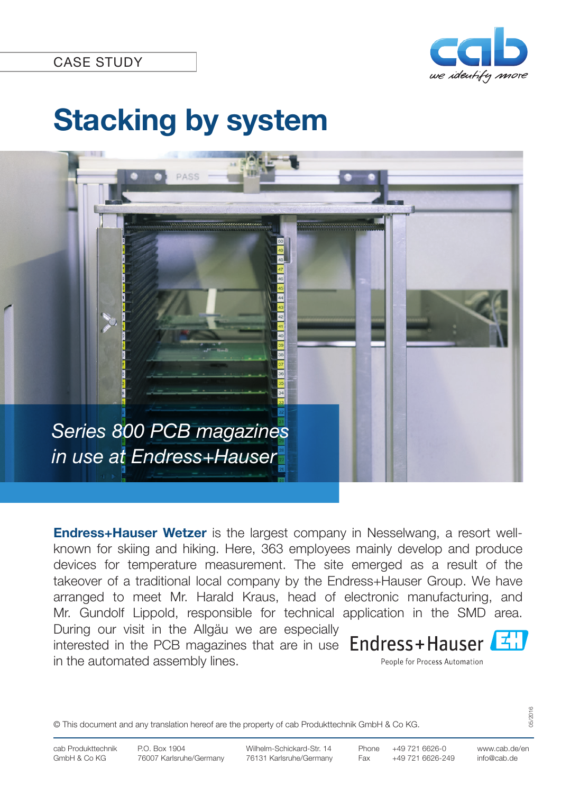

# **Stacking by system**



**Endress+Hauser Wetzer** is the largest company in Nesselwang, a resort wellknown for skiing and hiking. Here, 363 employees mainly develop and produce devices for temperature measurement. The site emerged as a result of the takeover of a traditional local company by the Endress+Hauser Group. We have arranged to meet Mr. Harald Kraus, head of electronic manufacturing, and Mr. Gundolf Lippold, responsible for technical application in the SMD area. During our visit in the Allgäu we are especially interested in the PCB magazines that are in use Endress+Hauser in the automated assembly lines. People for Process Automation

© This document and any translation hereof are the property of cab Produkttechnik GmbH & Co KG.

05/2016

info@cab.de